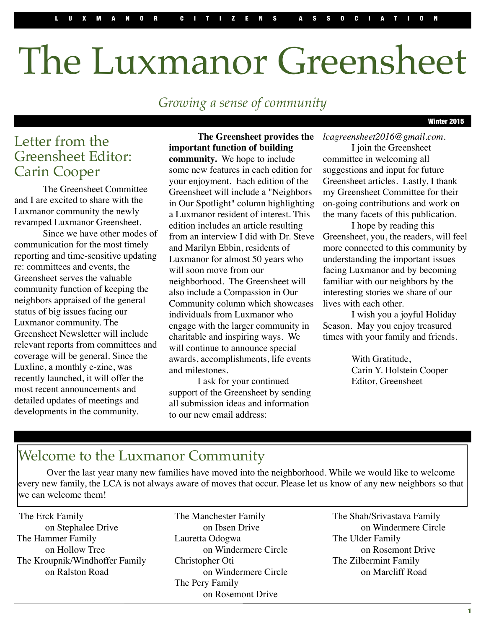# The Luxmanor Greensheet

*Growing a sense of community*

winter 2015

# Letter from the Greensheet Editor: Carin Cooper

The Greensheet Committee and I are excited to share with the Luxmanor community the newly revamped Luxmanor Greensheet.

Since we have other modes of communication for the most timely reporting and time-sensitive updating re: committees and events, the Greensheet serves the valuable community function of keeping the neighbors appraised of the general status of big issues facing our Luxmanor community. The Greensheet Newsletter will include relevant reports from committees and coverage will be general. Since the Luxline, a monthly e-zine, was recently launched, it will offer the most recent announcements and detailed updates of meetings and developments in the community.

### **The Greensheet provides the important function of building**

**community.** We hope to include some new features in each edition for your enjoyment. Each edition of the Greensheet will include a "Neighbors in Our Spotlight" column highlighting a Luxmanor resident of interest. This edition includes an article resulting from an interview I did with Dr. Steve and Marilyn Ebbin, residents of Luxmanor for almost 50 years who will soon move from our neighborhood. The Greensheet will also include a Compassion in Our Community column which showcases individuals from Luxmanor who engage with the larger community in charitable and inspiring ways. We will continue to announce special awards, accomplishments, life events and milestones.

I ask for your continued support of the Greensheet by sending all submission ideas and information to our new email address:

*[lcagreensheet2016@gmail.com.](mailto:lcagreensheet2016@gmail.com)*

I join the Greensheet committee in welcoming all suggestions and input for future Greensheet articles. Lastly, I thank my Greensheet Committee for their on-going contributions and work on the many facets of this publication.

I hope by reading this Greensheet, you, the readers, will feel more connected to this community by understanding the important issues facing Luxmanor and by becoming familiar with our neighbors by the interesting stories we share of our lives with each other.

I wish you a joyful Holiday Season. May you enjoy treasured times with your family and friends.

> With Gratitude, Carin Y. Holstein Cooper Editor, Greensheet

# Welcome to the Luxmanor Community

Over the last year many new families have moved into the neighborhood. While we would like to welcome every new family, the LCA is not always aware of moves that occur. Please let us know of any new neighbors so that we can welcome them!

The Erck Family on Stephalee Drive The Hammer Family on Hollow Tree The Kroupnik/Windhoffer Family on Ralston Road

The Manchester Family on Ibsen Drive Lauretta Odogwa on Windermere Circle Christopher Oti on Windermere Circle The Pery Family on Rosemont Drive

The Shah/Srivastava Family on Windermere Circle The Ulder Family on Rosemont Drive The Zilbermint Family on Marcliff Road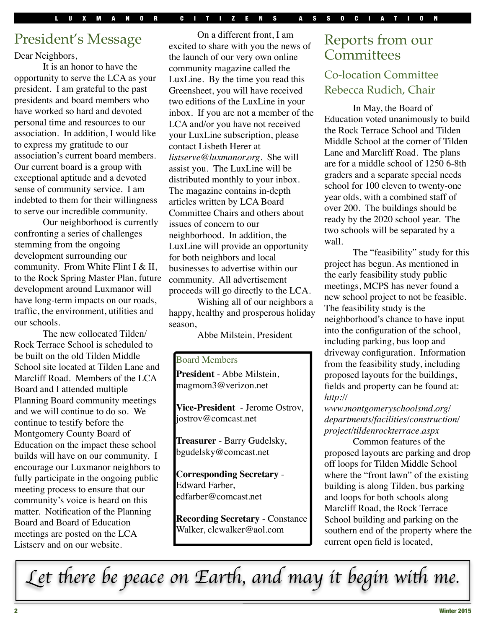# President's Message

Dear Neighbors,

It is an honor to have the opportunity to serve the LCA as your president. I am grateful to the past presidents and board members who have worked so hard and devoted personal time and resources to our association. In addition, I would like to express my gratitude to our association's current board members. Our current board is a group with exceptional aptitude and a devoted sense of community service. I am indebted to them for their willingness to serve our incredible community.

Our neighborhood is currently confronting a series of challenges stemming from the ongoing development surrounding our community. From White Flint I & II, to the Rock Spring Master Plan, future development around Luxmanor will have long-term impacts on our roads, traffic, the environment, utilities and our schools.

The new collocated Tilden/ Rock Terrace School is scheduled to be built on the old Tilden Middle School site located at Tilden Lane and Marcliff Road. Members of the LCA Board and I attended multiple Planning Board community meetings and we will continue to do so. We continue to testify before the Montgomery County Board of Education on the impact these school builds will have on our community. I encourage our Luxmanor neighbors to fully participate in the ongoing public meeting process to ensure that our community's voice is heard on this matter. Notification of the Planning Board and Board of Education meetings are posted on the LCA Listserv and on our website.

On a different front, I am excited to share with you the news of the launch of our very own online community magazine called the LuxLine. By the time you read this Greensheet, you will have received two editions of the LuxLine in your inbox. If you are not a member of the LCA and/or you have not received your LuxLine subscription, please contact Lisbeth Herer at *[listserve@luxmanor.org.](mailto:listserve@luxmanor.org)* She will assist you. The LuxLine will be distributed monthly to your inbox. The magazine contains in-depth articles written by LCA Board Committee Chairs and others about issues of concern to our neighborhood. In addition, the LuxLine will provide an opportunity for both neighbors and local businesses to advertise within our community. All advertisement proceeds will go directly to the LCA.

Wishing all of our neighbors a happy, healthy and prosperous holiday season,

Abbe Milstein, President

### Board Members

**President** - Abbe Milstein, [magmom3@verizon.net](mailto:magmom3@verizon.net)

**Vice-President** - Jerome Ostrov, [jostrov@comcast.net](mailto:jostrov@comcast.net)

**Treasurer** - Barry Gudelsky, [bgudelsky@comcast.net](mailto:bgudelsky@comcast.net)

**Corresponding Secretary** - Edward Farber, [edfarber@comcast.net](mailto:edfarber@comcast.net)

**Recording Secretary** - Constance Walker, [clcwalker@aol.com](mailto:clcwalker@aol.com)

# Reports from our **Committees**

### Co-location Committee Rebecca Rudich, Chair

In May, the Board of Education voted unanimously to build the Rock Terrace School and Tilden Middle School at the corner of Tilden Lane and Marcliff Road. The plans are for a middle school of 1250 6-8th graders and a separate special needs school for 100 eleven to twenty-one year olds, with a combined staff of over 200. The buildings should be ready by the 2020 school year. The two schools will be separated by a wall.

The "feasibility" study for this project has begun. As mentioned in the early feasibility study public meetings, MCPS has never found a new school project to not be feasible. The feasibility study is the neighborhood's chance to have input into the configuration of the school, including parking, bus loop and driveway configuration. Information from the feasibility study, including proposed layouts for the buildings, fields and property can be found at: *[http://](http://www.montgomeryschoolsmd.org/departments/facilities/construction/project/tildenrockterrace.aspx)*

*[www.montgomeryschoolsmd.org/](http://www.montgomeryschoolsmd.org/departments/facilities/construction/project/tildenrockterrace.aspx) [departments/facilities/construction/](http://www.montgomeryschoolsmd.org/departments/facilities/construction/project/tildenrockterrace.aspx) [project/tildenrockterrace.aspx](http://www.montgomeryschoolsmd.org/departments/facilities/construction/project/tildenrockterrace.aspx)*

Common features of the proposed layouts are parking and drop off loops for Tilden Middle School where the "front lawn" of the existing building is along Tilden, bus parking and loops for both schools along Marcliff Road, the Rock Terrace School building and parking on the southern end of the property where the current open field is located,

L*et* t*ere be peace on Ear*t*, and may it begin wi*t *me.*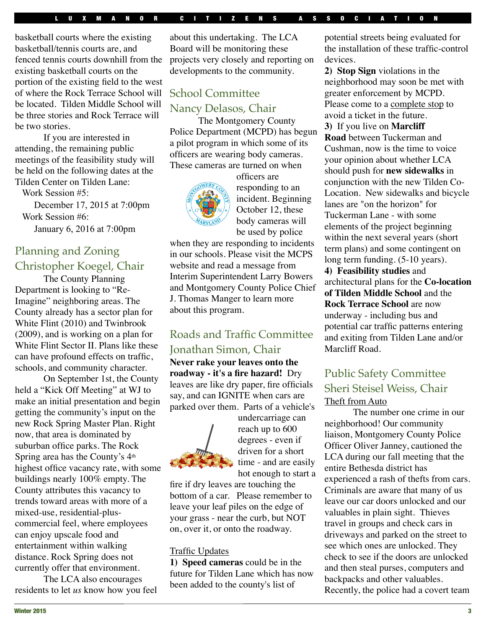#### UXMANOR CITIZENS ASSOCIATIO

basketball courts where the existing basketball/tennis courts are, and fenced tennis courts downhill from the existing basketball courts on the portion of the existing field to the west of where the Rock Terrace School will be located. Tilden Middle School will be three stories and Rock Terrace will be two stories.

If you are interested in attending, the remaining public meetings of the feasibility study will be held on the following dates at the Tilden Center on Tilden Lane:

Work Session #5:

 December 17, 2015 at 7:00pm Work Session #6: January 6, 2016 at 7:00pm

# Planning and Zoning Christopher Koegel, Chair

The County Planning Department is looking to "Re-Imagine" neighboring areas. The County already has a sector plan for White Flint (2010) and Twinbrook (2009), and is working on a plan for White Flint Sector II. Plans like these can have profound effects on traffic, schools, and community character.

On September 1st, the County held a "Kick Off Meeting" at WJ to make an initial presentation and begin getting the community's input on the new Rock Spring Master Plan. Right now, that area is dominated by suburban office parks. The Rock Spring area has the County's 4th highest office vacancy rate, with some buildings nearly 100% empty. The County attributes this vacancy to trends toward areas with more of a mixed-use, residential-pluscommercial feel, where employees can enjoy upscale food and entertainment within walking distance. Rock Spring does not currently offer that environment.

The LCA also encourages residents to let *us* know how you feel

about this undertaking. The LCA Board will be monitoring these projects very closely and reporting on developments to the community.

## School Committee Nancy Delasos, Chair

The Montgomery County Police Department (MCPD) has begun a pilot program in which some of its officers are wearing body cameras. These cameras are turned on when



officers are responding to an incident. Beginning October 12, these body cameras will be used by police

when they are responding to incidents in our schools. Please visit the MCPS website and read a message from Interim Superintendent Larry Bowers and Montgomery County Police Chief J. Thomas Manger to learn more about this program.

### Roads and Traffic Committee Jonathan Simon, Chair

**Never rake your leaves onto the roadway - it's a fire hazard!** Dry leaves are like dry paper, fire officials say, and can IGNITE when cars are parked over them. Parts of a vehicle's



undercarriage can reach up to 600 degrees - even if driven for a short time - and are easily hot enough to start a

fire if dry leaves are touching the bottom of a car. Please remember to leave your leaf piles on the edge of your grass - near the curb, but NOT on, over it, or onto the roadway.

#### Traffic Updates

**1) Speed cameras** could be in the future for Tilden Lane which has now been added to the county's list of

potential streets being evaluated for the installation of these traffic-control devices.

**2) Stop Sign** violations in the neighborhood may soon be met with greater enforcement by MCPD. Please come to a complete stop to avoid a ticket in the future.

**3)** If you live on **Marcliff Road** between Tuckerman and Cushman, now is the time to voice

your opinion about whether LCA should push for **new sidewalks** in conjunction with the new Tilden Co-Location. New sidewalks and bicycle lanes are "on the horizon" for Tuckerman Lane - with some elements of the project beginning within the next several years (short term plans) and some contingent on long term funding. (5-10 years). **4) Feasibility studies** and architectural plans for the **Co-location of Tilden Middle School** and the **Rock Terrace School** are now underway - including bus and potential car traffic patterns entering and exiting from Tilden Lane and/or Marcliff Road.

### Public Safety Committee Sheri Steisel Weiss, Chair Theft from Auto

The number one crime in our neighborhood! Our community liaison, Montgomery County Police Officer Oliver Janney, cautioned the LCA during our fall meeting that the entire Bethesda district has experienced a rash of thefts from cars. Criminals are aware that many of us leave our car doors unlocked and our valuables in plain sight. Thieves travel in groups and check cars in driveways and parked on the street to see which ones are unlocked. They check to see if the doors are unlocked and then steal purses, computers and backpacks and other valuables. Recently, the police had a covert team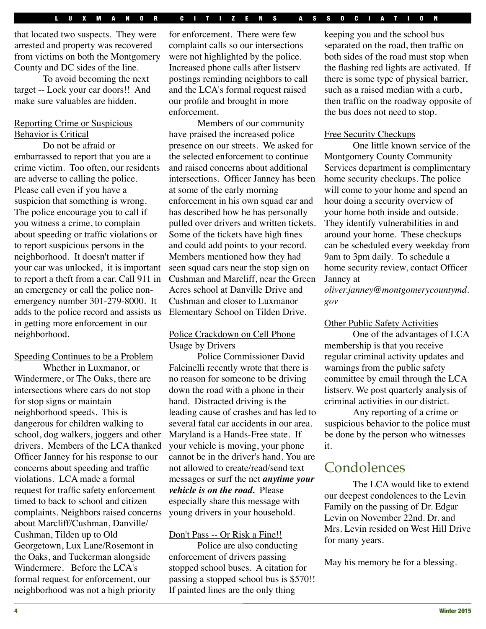that located two suspects. They were arrested and property was recovered from victims on both the Montgomery County and DC sides of the line.

To avoid becoming the next target -- Lock your car doors!! And make sure valuables are hidden.

### Reporting Crime or Suspicious Behavior is Critical

Do not be afraid or embarrassed to report that you are a crime victim. Too often, our residents are adverse to calling the police. Please call even if you have a suspicion that something is wrong. The police encourage you to call if you witness a crime, to complain about speeding or traffic violations or to report suspicious persons in the neighborhood. It doesn't matter if your car was unlocked, it is important to report a theft from a car. Call 911 in an emergency or call the police nonemergency number 301-279-8000. It adds to the police record and assists us in getting more enforcement in our neighborhood.

#### Speeding Continues to be a Problem

Whether in Luxmanor, or Windermere, or The Oaks, there are intersections where cars do not stop for stop signs or maintain neighborhood speeds. This is dangerous for children walking to school, dog walkers, joggers and other drivers. Members of the LCA thanked Officer Janney for his response to our concerns about speeding and traffic violations. LCA made a formal request for traffic safety enforcement timed to back to school and citizen complaints. Neighbors raised concerns about Marcliff/Cushman, Danville/ Cushman, Tilden up to Old Georgetown, Lux Lane/Rosemont in the Oaks, and Tuckerman alongside Windermere. Before the LCA's formal request for enforcement, our neighborhood was not a high priority

for enforcement. There were few complaint calls so our intersections were not highlighted by the police. Increased phone calls after listserv postings reminding neighbors to call and the LCA's formal request raised our profile and brought in more enforcement.

Members of our community have praised the increased police presence on our streets. We asked for the selected enforcement to continue and raised concerns about additional intersections. Officer Janney has been at some of the early morning enforcement in his own squad car and has described how he has personally pulled over drivers and written tickets. Some of the tickets have high fines and could add points to your record. Members mentioned how they had seen squad cars near the stop sign on Cushman and Marcliff, near the Green Acres school at Danville Drive and Cushman and closer to Luxmanor Elementary School on Tilden Drive.

### Police Crackdown on Cell Phone Usage by Drivers

Police Commissioner David Falcinelli recently wrote that there is no reason for someone to be driving down the road with a phone in their hand. Distracted driving is the leading cause of crashes and has led to several fatal car accidents in our area. Maryland is a Hands-Free state. If your vehicle is moving, your phone cannot be in the driver's hand. You are not allowed to create/read/send text messages or surf the net *anytime your vehicle is on the road.* Please especially share this message with young drivers in your household.

### Don't Pass -- Or Risk a Fine!!

Police are also conducting enforcement of drivers passing stopped school buses. A citation for passing a stopped school bus is \$570!! If painted lines are the only thing

keeping you and the school bus separated on the road, then traffic on both sides of the road must stop when the flashing red lights are activated. If there is some type of physical barrier, such as a raised median with a curb, then traffic on the roadway opposite of the bus does not need to stop.

### Free Security Checkups

One little known service of the Montgomery County Community Services department is complimentary home security checkups. The police will come to your home and spend an hour doing a security overview of your home both inside and outside. They identify vulnerabilities in and around your home. These checkups can be scheduled every weekday from 9am to 3pm daily. To schedule a home security review, contact Officer Janney at

*[oliver.janney@montgomerycountymd.](mailto:oliver.janney@montgomerycountymd.gov) [gov](mailto:oliver.janney@montgomerycountymd.gov)*

### Other Public Safety Activities

One of the advantages of LCA membership is that you receive regular criminal activity updates and warnings from the public safety committee by email through the LCA listserv. We post quarterly analysis of criminal activities in our district.

Any reporting of a crime or suspicious behavior to the police must be done by the person who witnesses it.

# **Condolences**

The LCA would like to extend our deepest condolences to the Levin Family on the passing of Dr. Edgar Levin on November 22nd. Dr. and Mrs. Levin resided on West Hill Drive for many years.

May his memory be for a blessing.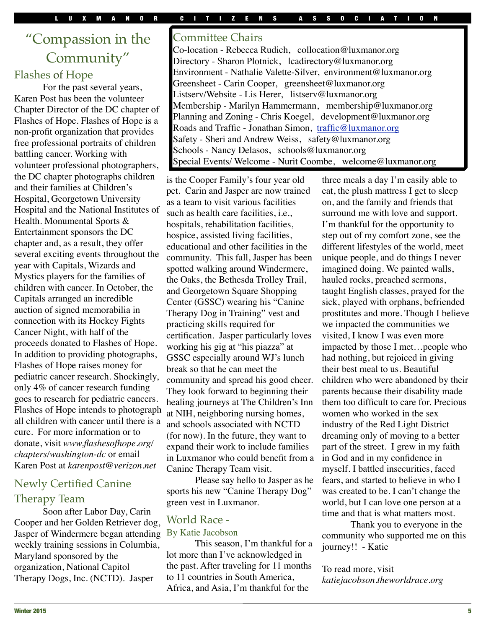# "Compassion in the Community"

### Flashes of Hope

For the past several years, Karen Post has been the volunteer Chapter Director of the DC chapter of Flashes of Hope. Flashes of Hope is a non-profit organization that provides free professional portraits of children battling cancer. Working with volunteer professional photographers, the DC chapter photographs children and their families at Children's Hospital, Georgetown University Hospital and the National Institutes of Health. Monumental Sports & Entertainment sponsors the DC chapter and, as a result, they offer several exciting events throughout the year with Capitals, Wizards and Mystics players for the families of children with cancer. In October, the Capitals arranged an incredible auction of signed memorabilia in connection with its Hockey Fights Cancer Night, with half of the proceeds donated to Flashes of Hope. In addition to providing photographs, Flashes of Hope raises money for pediatric cancer research. Shockingly, only 4% of cancer research funding goes to research for pediatric cancers. Flashes of Hope intends to photograph all children with cancer until there is a cure. For more information or to donate, visit *[www.flashesofhope.org/](http://www.flashesofhope.org/chapters/washington-dc) [chapters/washington-dc](http://www.flashesofhope.org/chapters/washington-dc)* or email Karen Post at *[karenpost@verizon.net](mailto:karenpost@verizon.net)*

### Newly Certified Canine Therapy Team

Soon after Labor Day, Carin Cooper and her Golden Retriever dog, Jasper of Windermere began attending weekly training sessions in Columbia, Maryland sponsored by the organization, National Capitol Therapy Dogs, Inc. (NCTD). Jasper

### Committee Chairs

Co-location - Rebecca Rudich, collocation@luxmanor.org Directory - Sharon Plotnick, lcadirectory@luxmanor.org Environment - Nathalie Valette-Silver, environment@luxmanor.org Greensheet - Carin Cooper, greensheet@luxmanor.org Listserv/Website - Lis Herer, listserv@luxmanor.org Membership - Marilyn Hammermann, membership@luxmanor.org Planning and Zoning - Chris Koegel, development@luxmanor.org Roads and Traffic - Jonathan Simon, [traffic@luxmanor.org](mailto:traffic@luxmanor.org) Safety - Sheri and Andrew Weiss, safety@luxmanor.org Schools - Nancy Delasos, schools@luxmanor.org Special Events/ Welcome - Nurit Coombe, welcome@luxmanor.org

is the Cooper Family's four year old pet. Carin and Jasper are now trained as a team to visit various facilities such as health care facilities, i.e., hospitals, rehabilitation facilities, hospice, assisted living facilities, educational and other facilities in the community. This fall, Jasper has been spotted walking around Windermere, the Oaks, the Bethesda Trolley Trail, and Georgetown Square Shopping Center (GSSC) wearing his "Canine Therapy Dog in Training" vest and practicing skills required for certification. Jasper particularly loves working his gig at "his piazza" at GSSC especially around WJ's lunch break so that he can meet the community and spread his good cheer. They look forward to beginning their healing journeys at The Children's Inn at NIH, neighboring nursing homes, and schools associated with NCTD (for now). In the future, they want to expand their work to include families in Luxmanor who could benefit from a Canine Therapy Team visit.

Please say hello to Jasper as he sports his new "Canine Therapy Dog" green vest in Luxmanor.

# World Race -

### By Katie Jacobson

This season, I'm thankful for a lot more than I've acknowledged in the past. After traveling for 11 months to 11 countries in South America, Africa, and Asia, I'm thankful for the

three meals a day I'm easily able to eat, the plush mattress I get to sleep on, and the family and friends that surround me with love and support. I'm thankful for the opportunity to step out of my comfort zone, see the different lifestyles of the world, meet unique people, and do things I never imagined doing. We painted walls, hauled rocks, preached sermons, taught English classes, prayed for the sick, played with orphans, befriended prostitutes and more. Though I believe we impacted the communities we visited, I know I was even more impacted by those I met…people who had nothing, but rejoiced in giving their best meal to us. Beautiful children who were abandoned by their parents because their disability made them too difficult to care for. Precious women who worked in the sex industry of the Red Light District dreaming only of moving to a better part of the street. I grew in my faith in God and in my confidence in myself. I battled insecurities, faced fears, and started to believe in who I was created to be. I can't change the world, but I can love one person at a time and that is what matters most.

Thank you to everyone in the community who supported me on this journey!! - Katie

### To read more, visit *katiejacobson.theworldrace.org*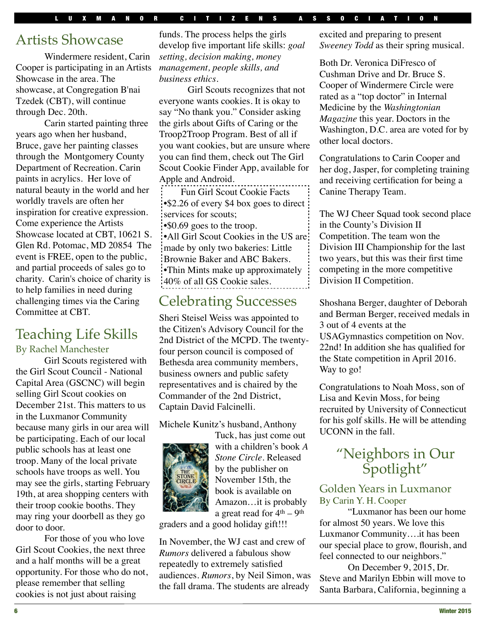# Artists Showcase

Windermere resident, Carin Cooper is participating in an Artists Showcase in the area. The showcase, at Congregation B'nai Tzedek (CBT), will continue through Dec. 20th.

Carin started painting three years ago when her husband, Bruce, gave her painting classes through the Montgomery County Department of Recreation. Carin paints in acrylics. Her love of natural beauty in the world and her worldly travels are often her inspiration for creative expression. Come experience the Artists Showcase located at CBT, 10621 S. Glen Rd. Potomac, MD 20854 The event is FREE, open to the public, and partial proceeds of sales go to charity. Carin's choice of charity is to help families in need during challenging times via the Caring Committee at CBT.

# Teaching Life Skills

### By Rachel Manchester

Girl Scouts registered with the Girl Scout Council - National Capital Area (GSCNC) will begin selling Girl Scout cookies on December 21st. This matters to us in the Luxmanor Community because many girls in our area will be participating. Each of our local public schools has at least one troop. Many of the local private schools have troops as well. You may see the girls, starting February 19th, at area shopping centers with their troop cookie booths. They may ring your doorbell as they go door to door.

For those of you who love Girl Scout Cookies, the next three and a half months will be a great opportunity. For those who do not, please remember that selling cookies is not just about raising

funds. The process helps the girls develop five important life skills: *goal setting, decision making, money management, people skills, and business ethics.*

Girl Scouts recognizes that not everyone wants cookies. It is okay to say "No thank you." Consider asking the girls about Gifts of Caring or the Troop2Troop Program. Best of all if you want cookies, but are unsure where you can find them, check out The Girl Scout Cookie Finder App, available for Apple and Android.

Fun Girl Scout Cookie Facts •\$2.26 of every \$4 box goes to direct services for scouts;

•\$0.69 goes to the troop.

•All Girl Scout Cookies in the US are: made by only two bakeries: Little Brownie Baker and ABC Bakers. •Thin Mints make up approximately 40% of all GS Cookie sales.

# Celebrating Successes

Sheri Steisel Weiss was appointed to the Citizen's Advisory Council for the 2nd District of the MCPD. The twentyfour person council is composed of Bethesda area community members, business owners and public safety representatives and is chaired by the Commander of the 2nd District, Captain David Falcinelli.

### Michele Kunitz's husband, Anthony



Tuck, has just come out with a children's book *A Stone Circle.* Released by the publisher on November 15th*,* the book is available on Amazon…it is probably a great read for  $4<sup>th</sup> - 9<sup>th</sup>$ 

graders and a good holiday gift!!!

In November, the WJ cast and crew of *Rumors* delivered a fabulous show repeatedly to extremely satisfied audiences. *Rumors*, by Neil Simon, was the fall drama. The students are already excited and preparing to present *Sweeney Todd* as their spring musical.

Both Dr. Veronica DiFresco of Cushman Drive and Dr. Bruce S. Cooper of Windermere Circle were rated as a "top doctor" in Internal Medicine by the *Washingtonian Magazine* this year. Doctors in the Washington, D.C. area are voted for by other local doctors.

Congratulations to Carin Cooper and her dog, Jasper, for completing training and receiving certification for being a Canine Therapy Team.

The WJ Cheer Squad took second place in the County's Division II Competition. The team won the Division III Championship for the last two years, but this was their first time competing in the more competitive Division II Competition.

Shoshana Berger, daughter of Deborah and Berman Berger, received medals in 3 out of 4 events at the USAGymnastics competition on Nov. 22nd! In addition she has qualified for the State competition in April 2016. Way to go!

Congratulations to Noah Moss, son of Lisa and Kevin Moss, for being recruited by University of Connecticut for his golf skills. He will be attending UCONN in the fall.

# "Neighbors in Our Spotlight"

### Golden Years in Luxmanor By Carin Y. H. Cooper

"Luxmanor has been our home for almost 50 years. We love this Luxmanor Community….it has been our special place to grow, flourish, and feel connected to our neighbors."

On December 9, 2015, Dr. Steve and Marilyn Ebbin will move to Santa Barbara, California, beginning a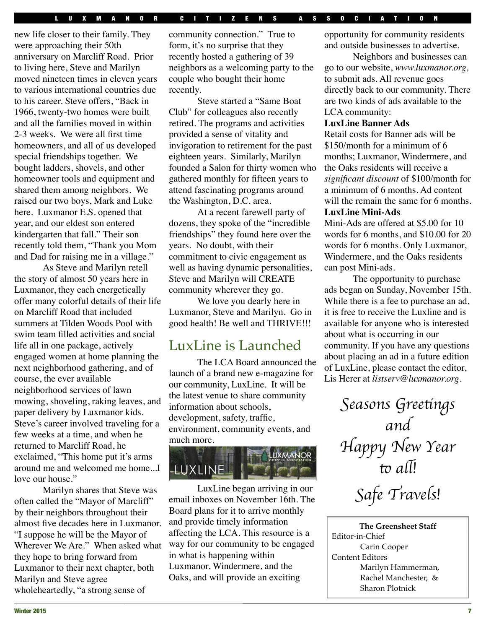new life closer to their family. They were approaching their 50th anniversary on Marcliff Road. Prior to living here, Steve and Marilyn moved nineteen times in eleven years to various international countries due to his career. Steve offers, "Back in 1966, twenty-two homes were built and all the families moved in within 2-3 weeks. We were all first time homeowners, and all of us developed special friendships together. We bought ladders, shovels, and other homeowner tools and equipment and shared them among neighbors. We raised our two boys, Mark and Luke here. Luxmanor E.S. opened that year, and our eldest son entered kindergarten that fall." Their son recently told them, "Thank you Mom and Dad for raising me in a village."

As Steve and Marilyn retell the story of almost 50 years here in Luxmanor, they each energetically offer many colorful details of their life on Marcliff Road that included summers at Tilden Woods Pool with swim team filled activities and social life all in one package, actively engaged women at home planning the next neighborhood gathering, and of course, the ever available neighborhood services of lawn mowing, shoveling, raking leaves, and paper delivery by Luxmanor kids. Steve's career involved traveling for a few weeks at a time, and when he returned to Marcliff Road, he exclaimed, "This home put it's arms around me and welcomed me home...I love our house."

Marilyn shares that Steve was often called the "Mayor of Marcliff" by their neighbors throughout their almost five decades here in Luxmanor. "I suppose he will be the Mayor of Wherever We Are." When asked what they hope to bring forward from Luxmanor to their next chapter, both Marilyn and Steve agree wholeheartedly, "a strong sense of

community connection." True to form, it's no surprise that they recently hosted a gathering of 39 neighbors as a welcoming party to the couple who bought their home recently.

Steve started a "Same Boat Club" for colleagues also recently retired. The programs and activities provided a sense of vitality and invigoration to retirement for the past eighteen years. Similarly, Marilyn founded a Salon for thirty women who gathered monthly for fifteen years to attend fascinating programs around the Washington, D.C. area.

At a recent farewell party of dozens, they spoke of the "incredible friendships" they found here over the years. No doubt, with their commitment to civic engagement as well as having dynamic personalities, Steve and Marilyn will CREATE community wherever they go.

We love you dearly here in Luxmanor, Steve and Marilyn. Go in good health! Be well and THRIVE!!!

# LuxLine is Launched

The LCA Board announced the launch of a brand new e-magazine for our community, LuxLine. It will be the latest venue to share community information about schools, development, safety, traffic, environment, community events, and much more.



LuxLine began arriving in our email inboxes on November 16th. The Board plans for it to arrive monthly and provide timely information affecting the LCA. This resource is a way for our community to be engaged in what is happening within Luxmanor, Windermere, and the Oaks, and will provide an exciting

opportunity for community residents and outside businesses to advertise.

Neighbors and businesses can go to our website, *[www.luxmanor.org,](http://www.luxmanor.org/)* to submit ads. All revenue goes directly back to our community. There are two kinds of ads available to the LCA community:

#### **LuxLine Banner Ads**

Retail costs for Banner ads will be \$150/month for a minimum of 6 months; Luxmanor, Windermere, and the Oaks residents will receive a *significant discount* of \$100/month for a minimum of 6 months. Ad content will the remain the same for 6 months. **LuxLine Mini-Ads**

Mini-Ads are offered at \$5.00 for 10 words for 6 months, and \$10.00 for 20 words for 6 months. Only Luxmanor, Windermere, and the Oaks residents can post Mini-ads.

The opportunity to purchase ads began on Sunday, November 15th. While there is a fee to purchase an ad, it is free to receive the Luxline and is available for anyone who is interested about what is occurring in our community. If you have any questions about placing an ad in a future edition of LuxLine, please contact the editor, Lis Herer at *[listserv@luxmanor.org.](mailto:listserv@luxmanor.org)*

> S*easons Gree*t*ngs and* H*appy New Year* to all!

S*afe Travels!*

**The Greensheet Staff** Editor-in-Chief Carin Cooper Content Editors Marilyn Hammerman, Rachel Manchester, & Sharon Plotnick